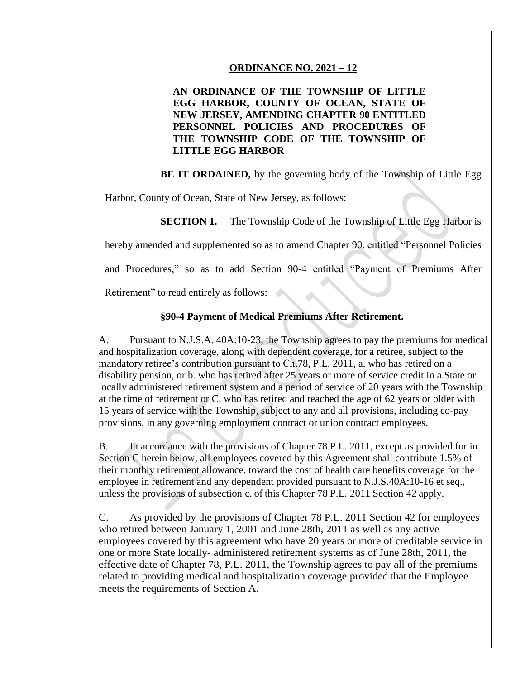## **ORDINANCE NO. 2021 – 12**

## **AN ORDINANCE OF THE TOWNSHIP OF LITTLE EGG HARBOR, COUNTY OF OCEAN, STATE OF NEW JERSEY, AMENDING CHAPTER 90 ENTITLED PERSONNEL POLICIES AND PROCEDURES OF THE TOWNSHIP CODE OF THE TOWNSHIP OF LITTLE EGG HARBOR**

**BE IT ORDAINED,** by the governing body of the Township of Little Egg

Harbor, County of Ocean, State of New Jersey, as follows:

**SECTION 1.** The Township Code of the Township of Little Egg Harbor is

hereby amended and supplemented so as to amend Chapter 90, entitled "Personnel Policies

and Procedures," so as to add Section 90-4 entitled "Payment of Premiums After

Retirement" to read entirely as follows:

## **§90-4 Payment of Medical Premiums After Retirement.**

A. Pursuant to N.J.S.A. 40A:10-23, the Township agrees to pay the premiums for medical and hospitalization coverage, along with dependent coverage, for a retiree, subject to the mandatory retiree's contribution pursuant to Ch.78, P.L. 2011, a. who has retired on a disability pension, or b. who has retired after 25 years or more of service credit in a State or locally administered retirement system and a period of service of 20 years with the Township at the time of retirement or C. who has retired and reached the age of 62 years or older with 15 years of service with the Township, subject to any and all provisions, including co-pay provisions, in any governing employment contract or union contract employees.

B. In accordance with the provisions of Chapter 78 P.L. 2011, except as provided for in Section C herein below, all employees covered by this Agreement shall contribute 1.5% of their monthly retirement allowance, toward the cost of health care benefits coverage for the employee in retirement and any dependent provided pursuant to N.J.S.40A:10-16 et seq., unless the provisions of subsection c. of this Chapter 78 P.L. 2011 Section 42 apply.

C. As provided by the provisions of Chapter 78 P.L. 2011 Section 42 for employees who retired between January 1, 2001 and June 28th, 2011 as well as any active employees covered by this agreement who have 20 years or more of creditable service in one or more State locally- administered retirement systems as of June 28th, 2011, the effective date of Chapter 78, P.L. 2011, the Township agrees to pay all of the premiums related to providing medical and hospitalization coverage provided that the Employee meets the requirements of Section A.